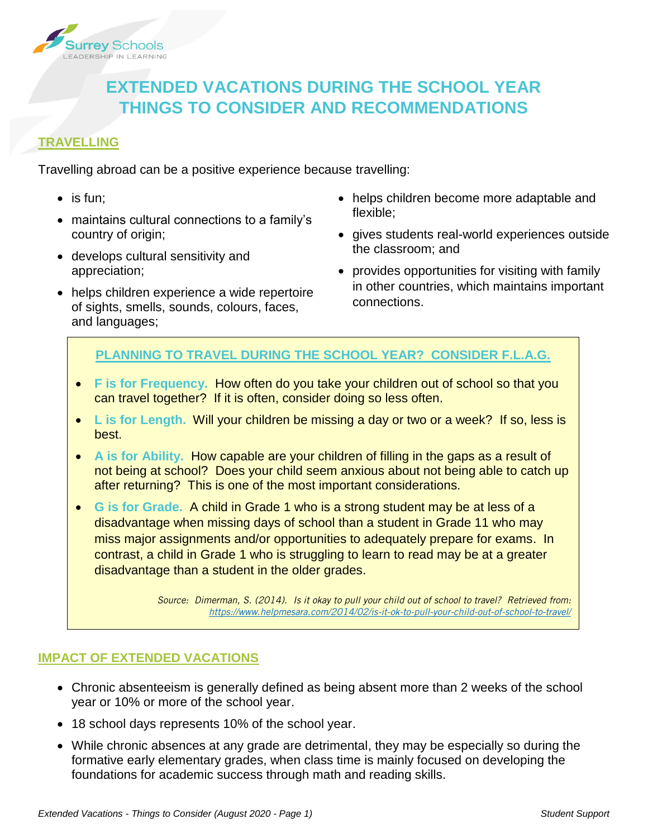

# **EXTENDED VACATIONS DURING THE SCHOOL YEAR THINGS TO CONSIDER AND RECOMMENDATIONS**

## **TRAVELLING**

Travelling abroad can be a positive experience because travelling:

- $\bullet$  is fun;
- maintains cultural connections to a family's country of origin;
- develops cultural sensitivity and appreciation;
- helps children experience a wide repertoire of sights, smells, sounds, colours, faces, and languages;
- helps children become more adaptable and flexible;
- gives students real-world experiences outside the classroom; and
- provides opportunities for visiting with family in other countries, which maintains important connections.

## **PLANNING TO TRAVEL DURING THE SCHOOL YEAR? CONSIDER F.L.A.G.**

- **F is for Frequency.** How often do you take your children out of school so that you can travel together? If it is often, consider doing so less often.
- **L is for Length.** Will your children be missing a day or two or a week? If so, less is best.
- **A is for Ability.** How capable are your children of filling in the gaps as a result of not being at school? Does your child seem anxious about not being able to catch up after returning? This is one of the most important considerations.
- **G is for Grade.** A child in Grade 1 who is a strong student may be at less of a disadvantage when missing days of school than a student in Grade 11 who may miss major assignments and/or opportunities to adequately prepare for exams. In contrast, a child in Grade 1 who is struggling to learn to read may be at a greater disadvantage than a student in the older grades.

*Source: Dimerman, S. (2014). Is it okay to pull your child out of school to travel? Retrieved from: <https://www.helpmesara.com/2014/02/is-it-ok-to-pull-your-child-out-of-school-to-travel/>*

## **IMPACT OF EXTENDED VACATIONS**

- Chronic absenteeism is generally defined as being absent more than 2 weeks of the school year or 10% or more of the school year.
- 18 school days represents 10% of the school year.
- While chronic absences at any grade are detrimental, they may be especially so during the formative early elementary grades, when class time is mainly focused on developing the foundations for academic success through math and reading skills.